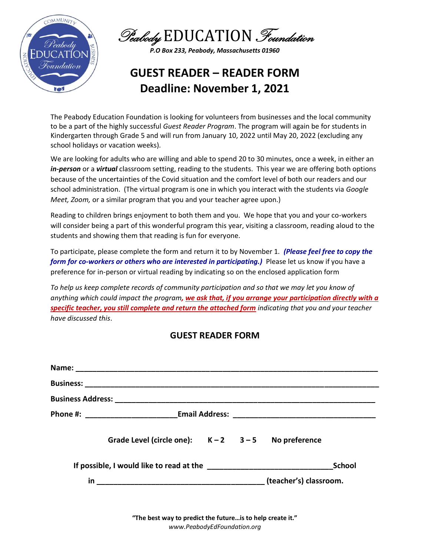



## **GUEST READER – READER FORM Deadline: November 1, 2021**

The Peabody Education Foundation is looking for volunteers from businesses and the local community to be a part of the highly successful *Guest Reader Program*. The program will again be for students in Kindergarten through Grade 5 and will run from January 10, 2022 until May 20, 2022 (excluding any school holidays or vacation weeks).

We are looking for adults who are willing and able to spend 20 to 30 minutes, once a week, in either an *in-person* or a *virtual* classroom setting, reading to the students. This year we are offering both options because of the uncertainties of the Covid situation and the comfort level of both our readers and our school administration. (The virtual program is one in which you interact with the students via *Google Meet, Zoom,* or a similar program that you and your teacher agree upon.)

Reading to children brings enjoyment to both them and you. We hope that you and your co-workers will consider being a part of this wonderful program this year, visiting a classroom, reading aloud to the students and showing them that reading is fun for everyone.

To participate, please complete the form and return it to by November 1. *(Please feel free to copy the form for co-workers or others who are interested in participating.)* Please let us know if you have a preference for in-person or virtual reading by indicating so on the enclosed application form

*To help us keep complete records of community participation and so that we may let you know of anything which could impact the program, we ask that, if you arrange your participation directly with a specific teacher, you still complete and return the attached form indicating that you and your teacher have discussed this*.

## **GUEST READER FORM**

|  | Grade Level (circle one): $K-2$ $3-5$ No preference |  |  |  |        |
|--|-----------------------------------------------------|--|--|--|--------|
|  |                                                     |  |  |  | School |
|  |                                                     |  |  |  |        |

**"The best way to predict the future…is to help create it."** *www.PeabodyEdFoundation.org*